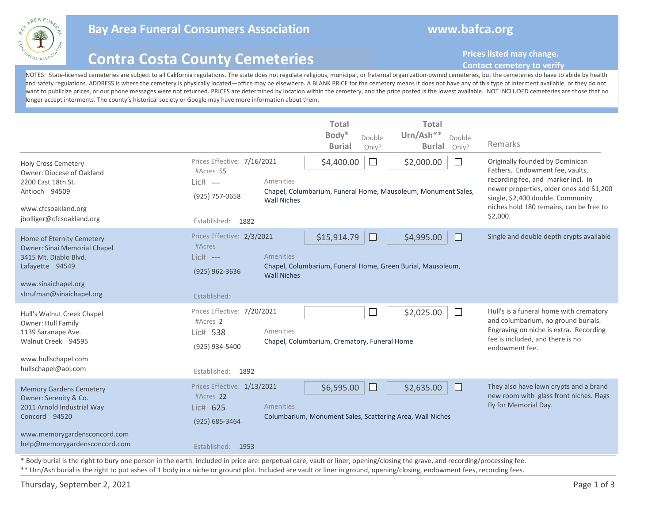

## **Bay Area Funeral Consumers Association www.bafca.org**

# **Contra Costa County Cemeteries**

## **Prices listed may change.**

### **Contact cemetery to verify**

NOTES: State-licensed cemeteries are subject to all California regulations. The state does not regulate religious, municipal, or fraternal organization-owned cemeteries, but the cemeteries do have to abide by health and safety regulations. ADDRESS is where the cemetery is physically located—office may be elsewhere. A BLANK PRICE for the cemetery means it does not have any of this type of interment available, or they do not want to publicize prices, or our phone messages were not returned. PRICES are determined by location within the cemetery, and the price posted is the lowest available. NOT INCLUDED cemeteries are those that no longer accept interments. The county's historical society or Google may have more information about them.

| <b>Holy Cross Cemetery</b><br>Owner: Diocese of Oakland<br>2200 East 18th St.<br>Antioch 94509<br>www.cfcsoakland.org                                                       | Prices Effective: 7/16/2021<br>#Acres 55<br>$Lic#$ ---<br>(925) 757-0658                      | Amenities<br><b>Wall Niches</b> | <b>Total</b><br>Body*<br><b>Burial</b><br>\$4,400.00 | Double<br>Only?<br>$\Box$ | <b>Total</b><br>Urn/Ash**<br>Double<br><b>Burlal</b><br>Only?<br>\$2,000.00<br>Chapel, Columbarium, Funeral Home, Mausoleum, Monument Sales, | Remarks<br>Originally founded by Dominican<br>Fathers. Endowment fee, vaults,<br>recording fee, and marker incl. in<br>newer properties, older ones add \$1,200<br>single, \$2,400 double. Community<br>niches hold 180 remains, can be free to |
|-----------------------------------------------------------------------------------------------------------------------------------------------------------------------------|-----------------------------------------------------------------------------------------------|---------------------------------|------------------------------------------------------|---------------------------|----------------------------------------------------------------------------------------------------------------------------------------------|-------------------------------------------------------------------------------------------------------------------------------------------------------------------------------------------------------------------------------------------------|
| jbolliger@cfcsoakland.org                                                                                                                                                   | Established: 1882                                                                             |                                 |                                                      |                           |                                                                                                                                              | \$2,000.                                                                                                                                                                                                                                        |
| Home of Eternity Cemetery<br><b>Owner: Sinai Memorial Chapel</b><br>3415 Mt. Diablo Blvd.<br>Lafayette 94549<br>www.sinaichapel.org<br>sbrufman@sinaichapel.org             | Prices Effective: 2/3/2021<br>#Acres<br>Lic# ---<br>$(925)$ 962-3636<br>Established:          | Amenities<br><b>Wall Niches</b> | \$15,914.79                                          | $\Box$                    | \$4,995.00<br>Chapel, Columbarium, Funeral Home, Green Burial, Mausoleum,                                                                    | Single and double depth crypts available                                                                                                                                                                                                        |
| Hull's Walnut Creek Chapel<br>Owner: Hull Family<br>1139 Saranape Ave.<br>Walnut Creek 94595<br>www.hullschapel.com<br>hullschapel@aol.com                                  | Prices Effective: 7/20/2021<br>#Acres 2<br>Lic# 538<br>(925) 934-5400<br>Established:<br>1892 | Amenities                       | Chapel, Columbarium, Crematory, Funeral Home         | $\Box$                    | \$2,025.00<br>$\mathcal{L}$                                                                                                                  | Hull's is a funeral home with crematory<br>and columbarium, no ground burials.<br>Engraving on niche is extra. Recording<br>fee is included, and there is no<br>endowment fee.                                                                  |
| <b>Memory Gardens Cemetery</b><br>Owner: Serenity & Co.<br>2011 Arnold Industrial Way<br>Concord 94520<br>www.memorygardensconcord.com<br>help@memorygardensconcord.com     | Prices Effective: 1/13/2021<br>#Acres 22<br>Lic# 625<br>(925) 685-3464<br>Established: 1953   | Amenities                       | \$6,595.00                                           | $\Box$                    | \$2,635.00<br>Columbarium, Monument Sales, Scattering Area, Wall Niches                                                                      | They also have lawn crypts and a brand<br>new room with glass front niches. Flags<br>fly for Memorial Day.                                                                                                                                      |
| * Body burial is the right to bury one person in the earth. Included in price are: perpetual care, vault or liner, opening/closing the grave, and recording/processing fee. |                                                                                               |                                 |                                                      |                           |                                                                                                                                              |                                                                                                                                                                                                                                                 |

\*\* Urn/Ash burial is the right to put ashes of 1 body in a niche or ground plot. Included are vault or liner in ground, opening/closing, endowment fees, recording fees.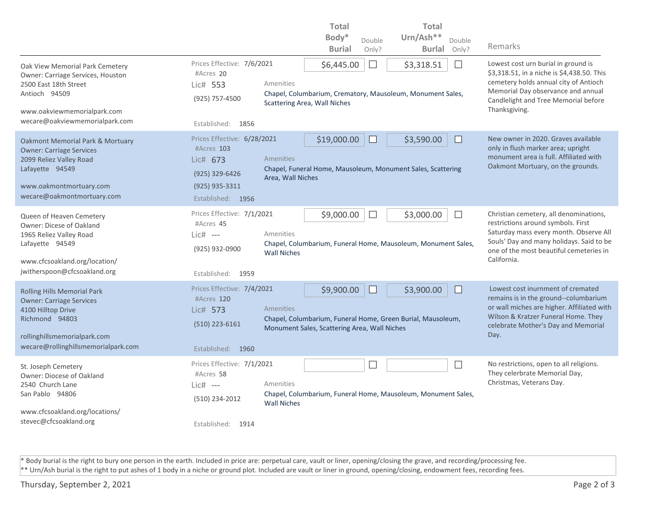|                                                                                                                                                         |                                         |                                                                                                                 | <b>Total</b>                                                |                                                                                    | <b>Total</b>                                                                      |                                                                            |  |  |
|---------------------------------------------------------------------------------------------------------------------------------------------------------|-----------------------------------------|-----------------------------------------------------------------------------------------------------------------|-------------------------------------------------------------|------------------------------------------------------------------------------------|-----------------------------------------------------------------------------------|----------------------------------------------------------------------------|--|--|
|                                                                                                                                                         |                                         |                                                                                                                 | Body*                                                       | Double                                                                             | Urn/Ash**<br>Double                                                               |                                                                            |  |  |
|                                                                                                                                                         |                                         |                                                                                                                 | <b>Burial</b>                                               | Only?                                                                              | <b>Burlal</b><br>Only?                                                            | Remarks                                                                    |  |  |
| Oak View Memorial Park Cemetery<br>Owner: Carriage Services, Houston<br>2500 East 18th Street<br>Antioch 94509                                          | Prices Effective: 7/6/2021<br>#Acres 20 |                                                                                                                 | \$3,318.51<br>\$6,445.00<br>$\vert \ \ \vert$               |                                                                                    | Lowest cost urn burial in ground is<br>\$3,318.51, in a niche is \$4,438.50. This |                                                                            |  |  |
|                                                                                                                                                         | Lic# 553                                | Amenities                                                                                                       |                                                             |                                                                                    | cemetery holds annual city of Antioch                                             |                                                                            |  |  |
|                                                                                                                                                         | (925) 757-4500                          |                                                                                                                 | Chapel, Columbarium, Crematory, Mausoleum, Monument Sales,  |                                                                                    | Memorial Day observance and annual<br>Candlelight and Tree Memorial before        |                                                                            |  |  |
| www.oakviewmemorialpark.com                                                                                                                             |                                         |                                                                                                                 | Scattering Area, Wall Niches                                |                                                                                    | Thanksgiving.                                                                     |                                                                            |  |  |
| wecare@oakviewmemorialpark.com                                                                                                                          | Established: 1856                       |                                                                                                                 |                                                             |                                                                                    |                                                                                   |                                                                            |  |  |
| <b>Oakmont Memorial Park &amp; Mortuary</b><br><b>Owner: Carriage Services</b><br>2099 Reliez Valley Road<br>Lafayette 94549<br>www.oakmontmortuary.com | Prices Effective: 6/28/2021             |                                                                                                                 | New owner in 2020. Graves available                         |                                                                                    |                                                                                   |                                                                            |  |  |
|                                                                                                                                                         | #Acres 103<br>Lic# 673                  | Amenities                                                                                                       |                                                             | only in flush marker area; upright<br>monument area is full. Affiliated with       |                                                                                   |                                                                            |  |  |
|                                                                                                                                                         | (925) 329-6426                          |                                                                                                                 | Chapel, Funeral Home, Mausoleum, Monument Sales, Scattering |                                                                                    | Oakmont Mortuary, on the grounds.                                                 |                                                                            |  |  |
|                                                                                                                                                         | $(925)$ 935-3311                        | Area, Wall Niches                                                                                               |                                                             |                                                                                    |                                                                                   |                                                                            |  |  |
| wecare@oakmontmortuary.com                                                                                                                              | Established: 1956                       |                                                                                                                 |                                                             |                                                                                    |                                                                                   |                                                                            |  |  |
|                                                                                                                                                         | Prices Effective: 7/1/2021              |                                                                                                                 | \$9,000.00                                                  | $\mathbf{L}$                                                                       | \$3,000.00<br>$\mathbf{I}$                                                        | Christian cemetery, all denominations,                                     |  |  |
| Queen of Heaven Cemetery<br>Owner: Dicese of Oakland<br>1965 Reliez Valley Road                                                                         | #Acres 45                               |                                                                                                                 |                                                             |                                                                                    |                                                                                   | restrictions around symbols. First                                         |  |  |
|                                                                                                                                                         | $Lie#$ ---                              | Amenities                                                                                                       |                                                             | Saturday mass every month. Observe All<br>Souls' Day and many holidays. Said to be |                                                                                   |                                                                            |  |  |
| Lafayette 94549                                                                                                                                         | (925) 932-0900                          | <b>Wall Niches</b>                                                                                              |                                                             |                                                                                    | Chapel, Columbarium, Funeral Home, Mausoleum, Monument Sales,                     | one of the most beautiful cemeteries in                                    |  |  |
| www.cfcsoakland.org/location/                                                                                                                           |                                         |                                                                                                                 |                                                             |                                                                                    |                                                                                   | California.                                                                |  |  |
| jwitherspoon@cfcsoakland.org                                                                                                                            | Established: 1959                       |                                                                                                                 |                                                             |                                                                                    |                                                                                   |                                                                            |  |  |
| Rolling Hills Memorial Park<br><b>Owner: Carriage Services</b><br>4100 Hilltop Drive<br>Richmond 94803                                                  | Prices Effective: 7/4/2021              |                                                                                                                 | \$9,900.00                                                  |                                                                                    | \$3,900.00<br>$\Box$                                                              | Lowest cost inurnment of cremated<br>remains is in the ground--columbarium |  |  |
|                                                                                                                                                         | #Acres 120<br>Lic# 573                  | Amenities                                                                                                       | or wall miches are higher. Affiliated with                  |                                                                                    |                                                                                   |                                                                            |  |  |
|                                                                                                                                                         |                                         |                                                                                                                 | Chapel, Columbarium, Funeral Home, Green Burial, Mausoleum, |                                                                                    | Wilson & Kratzer Funeral Home. They                                               |                                                                            |  |  |
| rollinghillsmemorialpark.com                                                                                                                            |                                         | $(510)$ 223-6161<br>celebrate Mother's Day and Memorial<br>Monument Sales, Scattering Area, Wall Niches<br>Day. |                                                             |                                                                                    |                                                                                   |                                                                            |  |  |
| wecare@rollinghillsmemorialpark.com                                                                                                                     | Established: 1960                       |                                                                                                                 |                                                             |                                                                                    |                                                                                   |                                                                            |  |  |
|                                                                                                                                                         | Prices Effective: 7/1/2021              |                                                                                                                 |                                                             |                                                                                    | $\sim$                                                                            | No restrictions, open to all religions.                                    |  |  |
| St. Joseph Cemetery<br>Owner: Diocese of Oakland<br>2540 Church Lane<br>San Pablo 94806                                                                 | #Acres 58                               |                                                                                                                 |                                                             |                                                                                    |                                                                                   | They celerbrate Memorial Day,                                              |  |  |
|                                                                                                                                                         | $Lic#$ ---                              | Amenities                                                                                                       |                                                             |                                                                                    |                                                                                   | Christmas, Veterans Day.                                                   |  |  |
|                                                                                                                                                         | (510) 234-2012                          | <b>Wall Niches</b>                                                                                              |                                                             |                                                                                    | Chapel, Columbarium, Funeral Home, Mausoleum, Monument Sales,                     |                                                                            |  |  |
| www.cfcsoakland.org/locations/                                                                                                                          |                                         |                                                                                                                 |                                                             |                                                                                    |                                                                                   |                                                                            |  |  |
| stevec@cfcsoakland.org                                                                                                                                  | Established: 1914                       |                                                                                                                 |                                                             |                                                                                    |                                                                                   |                                                                            |  |  |

\* Body burial is the right to bury one person in the earth. Included in price are: perpetual care, vault or liner, opening/closing the grave, and recording/processing fee. \*\* Urn/Ash burial is the right to put ashes of 1 body in a niche or ground plot. Included are vault or liner in ground, opening/closing, endowment fees, recording fees.